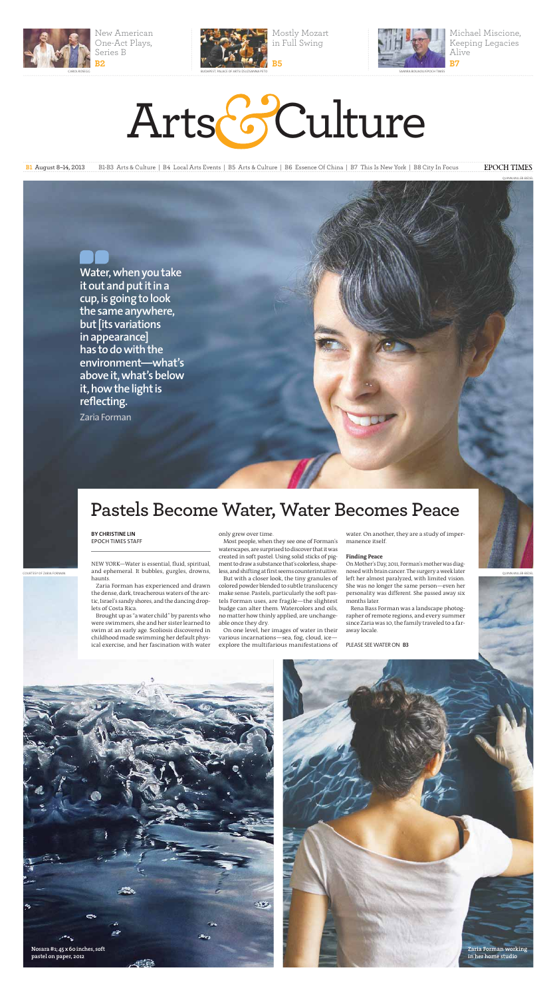

New American One-Act Plays, Series B



Mostly Mozart in Full Swing

Michael Miscione, Keeping Legacies Alive

# Arts & Culture

B1 August 8–14, 2013 B1-B3 Arts & Culture | B4 Local Arts Events | B5 Arts & Culture | B6 Essence Of China | B7 This Is New York | B8 City In Focus **EPOCH TIMES** 



**BY CHRISTINE LIN** EPOCH TIMES STAFF

NEW YORK—Water is essential, fluid, spiritual, haunts.

Zaria Forman has experienced and drawn the dense, dark, treacherous waters of the arctic, Israel's sandy shores, and the dancing droplets of Costa Rica.

Brought up as "a water child" by parents who were swimmers, she and her sister learned to swim at an early age. Scoliosis discovered in childhood made swimming her default physical exercise, and her fascination with water

# only grew over time.

<sub>COURTESY OF ZARIA FORMAN</sub> and ephemeral. It bubbles, gurgles, drowns, less, and shifting at first seems counterintuitive. nosed with brain cancer. The surgery a week later and the surgery a week later and the surgery a we On Mother's Day, 2011, Forman's mother was diagnosed with brain cancer. The surgery a week later left her almost paralyzed, with limited vision. She was no longer the same person—even her personality was different. She passed away six months later.



Most people, when they see one of Forman's waterscapes, are surprised to discover that it was created in soft pastel. Using solid sticks of pigment to draw a substance that's colorless, shapeless, and shifting at first seems counterintuitive. But with a closer look, the tiny granules of colored powder blended to subtle translucency make sense. Pastels, particularly the soft pastels Forman uses, are fragile—the slightest budge can alter them. Watercolors and oils, no matter how thinly applied, are unchangeable once they dry.

On one level, her images of water in their various incarnations—sea, fog, cloud, ice explore the multifarious manifestations of

water. On another, they are a study of impermanence itself.

## **Finding Peace**

Rena Bass Forman was a landscape photographer of remote regions, and every summer since Zaria was 10, the family traveled to a faraway locale.

### PLEASE SEE WATER ON **B3**

# **Pastels Become Water, Water Becomes Peace**

**Water, when you take it out and put it in a cup, is going to look the same anywhere, but [its variations in appearance] has to do with the environment—what's above it, what's below it, how the light is reflecting.**

Zaria Forman





QUINN MILLER-BEDEL